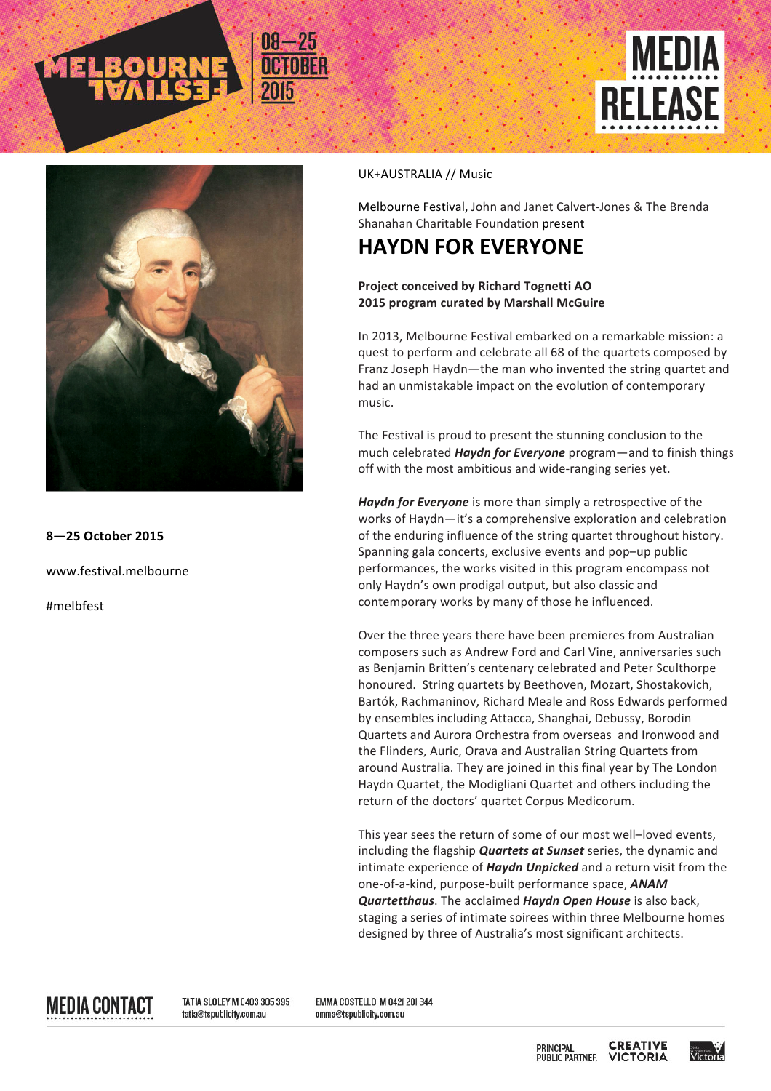



**8—25 October 2015**

www.festival.melbourne

#melbfest

## UK+AUSTRALIA // Music

Melbourne Festival, John and Janet Calvert-Jones & The Brenda Shanahan Charitable Foundation present

## **HAYDN FOR EVERYONE**

## **Project conceived by Richard Tognetti AO 2015 program curated by Marshall McGuire**

In 2013, Melbourne Festival embarked on a remarkable mission: a quest to perform and celebrate all 68 of the quartets composed by Franz Joseph Haydn-the man who invented the string quartet and had an unmistakable impact on the evolution of contemporary music.

The Festival is proud to present the stunning conclusion to the much celebrated *Haydn for Everyone* program—and to finish things off with the most ambitious and wide-ranging series yet.

Haydn for Everyone is more than simply a retrospective of the works of Haydn-it's a comprehensive exploration and celebration of the enduring influence of the string quartet throughout history. Spanning gala concerts, exclusive events and pop-up public performances, the works visited in this program encompass not only Haydn's own prodigal output, but also classic and contemporary works by many of those he influenced.

Over the three years there have been premieres from Australian composers such as Andrew Ford and Carl Vine, anniversaries such as Benjamin Britten's centenary celebrated and Peter Sculthorpe honoured. String quartets by Beethoven, Mozart, Shostakovich, Bartók, Rachmaninov, Richard Meale and Ross Edwards performed by ensembles including Attacca, Shanghai, Debussy, Borodin Quartets and Aurora Orchestra from overseas and Ironwood and the Flinders, Auric, Orava and Australian String Quartets from around Australia. They are joined in this final year by The London Haydn Quartet, the Modigliani Quartet and others including the return of the doctors' quartet Corpus Medicorum.

This year sees the return of some of our most well-loved events, including the flagship **Quartets at Sunset** series, the dynamic and intimate experience of *Haydn Unpicked* and a return visit from the one-of-a-kind, purpose-built performance space, **ANAM** *Quartetthaus*. The acclaimed *Haydn Open House* is also back, staging a series of intimate soirees within three Melbourne homes designed by three of Australia's most significant architects.

MEDIA CONTACT

TATIA SLOLEY M 0403 305 395 tatia@tspublicity.com.au

EMMA COSTELLO M 0421 201344 emma@tspublicity.com.au